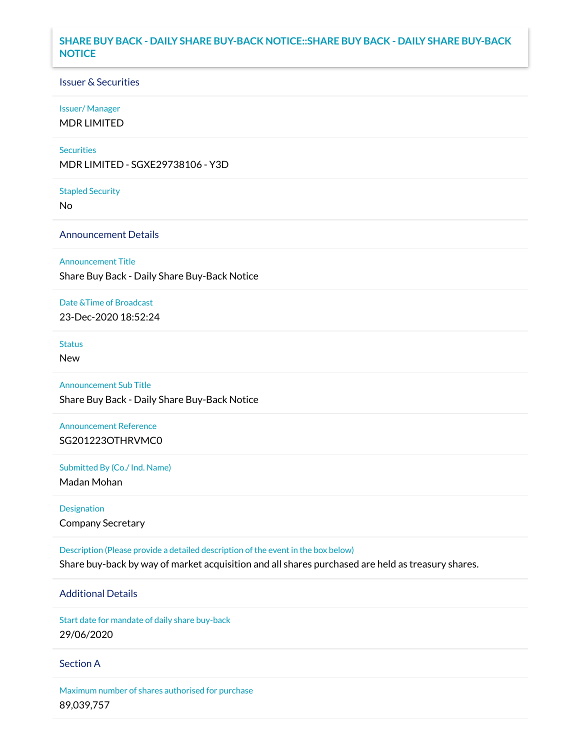### **SHARE BUY BACK - DAILY SHARE BUY-BACK NOTICE::SHARE BUY BACK - DAILY SHARE BUY-BACK NOTICE**

#### Issuer & Securities

#### Issuer/ Manager

MDR LIMITED

#### **Securities**

MDR LIMITED - SGXE29738106 - Y3D

#### Stapled Security

No

### Announcement Details

Announcement Title

Share Buy Back - Daily Share Buy-Back Notice

### Date &Time of Broadcast

23-Dec-2020 18:52:24

# Status

New

# Announcement Sub Title

Share Buy Back - Daily Share Buy-Back Notice

# Announcement Reference SG201223OTHRVMC0

Submitted By (Co./ Ind. Name)

Madan Mohan

Designation Company Secretary

Description (Please provide a detailed description of the event in the box below) Share buy-back by way of market acquisition and all shares purchased are held as treasury shares.

# Additional Details

Start date for mandate of daily share buy-back 29/06/2020

### Section A

Maximum number of shares authorised for purchase 89,039,757